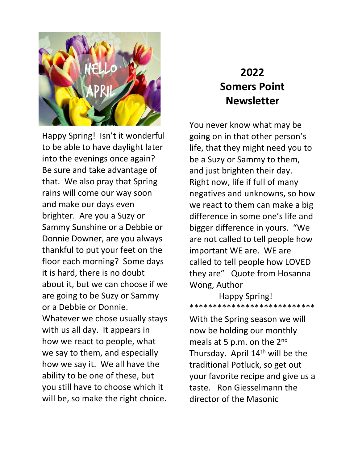

Happy Spring! Isn't it wonderful to be able to have daylight later into the evenings once again? Be sure and take advantage of that. We also pray that Spring rains will come our way soon and make our days even brighter. Are you a Suzy or Sammy Sunshine or a Debbie or Donnie Downer, are you always thankful to put your feet on the floor each morning? Some days it is hard, there is no doubt about it, but we can choose if we are going to be Suzy or Sammy or a Debbie or Donnie. Whatever we chose usually stays with us all day. It appears in how we react to people, what we say to them, and especially how we say it. We all have the ability to be one of these, but you still have to choose which it will be, so make the right choice.

## **2022 Somers Point Newsletter**

You never know what may be going on in that other person's life, that they might need you to be a Suzy or Sammy to them, and just brighten their day. Right now, life if full of many negatives and unknowns, so how we react to them can make a big difference in some one's life and bigger difference in yours. "We are not called to tell people how important WE are. WE are called to tell people how LOVED they are" Quote from Hosanna Wong, Author

 Happy Spring! \*\*\*\*\*\*\*\*\*\*\*\*\*\*\*\*\*\*\*\*\*\*\*\*\*\*\*

With the Spring season we will now be holding our monthly meals at 5 p.m. on the 2<sup>nd</sup> Thursday. April  $14<sup>th</sup>$  will be the traditional Potluck, so get out your favorite recipe and give us a taste. Ron Giesselmann the director of the Masonic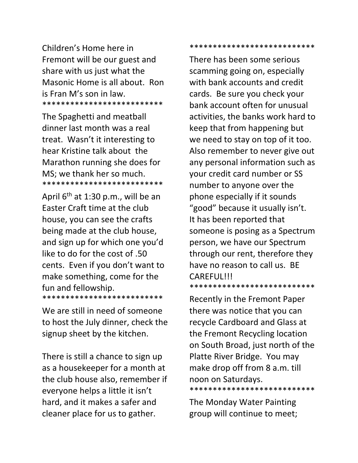Children's Home here in Fremont will be our guest and share with us just what the Masonic Home is all about. Ron is Fran M's son in law. \*\*\*\*\*\*\*\*\*\*\*\*\*\*\*\*\*\*\*\*\*\*\*\*\*\*

The Spaghetti and meatball dinner last month was a real treat. Wasn't it interesting to hear Kristine talk about the Marathon running she does for MS; we thank her so much. \*\*\*\*\*\*\*\*\*\*\*\*\*\*\*\*\*\*\*\*\*\*\*\*\*\*

April  $6<sup>th</sup>$  at 1:30 p.m., will be an Easter Craft time at the club house, you can see the crafts being made at the club house, and sign up for which one you'd like to do for the cost of .50 cents. Even if you don't want to make something, come for the fun and fellowship. \*\*\*\*\*\*\*\*\*\*\*\*\*\*\*\*\*\*\*\*\*\*\*\*\*\*

We are still in need of someone to host the July dinner, check the signup sheet by the kitchen.

There is still a chance to sign up as a housekeeper for a month at the club house also, remember if everyone helps a little it isn't hard, and it makes a safer and cleaner place for us to gather.

\*\*\*\*\*\*\*\*\*\*\*\*\*\*\*\*\*\*\*\*\*\*\*\*\*\*\*

There has been some serious scamming going on, especially with bank accounts and credit cards. Be sure you check your bank account often for unusual activities, the banks work hard to keep that from happening but we need to stay on top of it too. Also remember to never give out any personal information such as your credit card number or SS number to anyone over the phone especially if it sounds "good" because it usually isn't. It has been reported that someone is posing as a Spectrum person, we have our Spectrum through our rent, therefore they have no reason to call us. BE CAREFUL!!! \*\*\*\*\*\*\*\*\*\*\*\*\*\*\*\*\*\*\*\*\*\*\*\*\*\*\*

Recently in the Fremont Paper there was notice that you can recycle Cardboard and Glass at the Fremont Recycling location on South Broad, just north of the Platte River Bridge. You may make drop off from 8 a.m. till noon on Saturdays. \*\*\*\*\*\*\*\*\*\*\*\*\*\*\*\*\*\*\*\*\*\*\*\*\*\*\*

The Monday Water Painting group will continue to meet;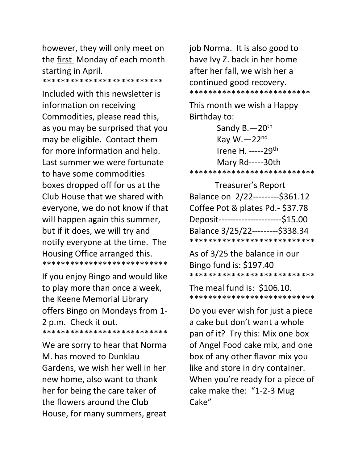however, they will only meet on the first Monday of each month starting in April.

\*\*\*\*\*\*\*\*\*\*\*\*\*\*\*\*\*\*\*\*\*\*\*\*\*\*

Included with this newsletter is information on receiving Commodities, please read this, as you may be surprised that you may be eligible. Contact them for more information and help. Last summer we were fortunate to have some commodities boxes dropped off for us at the Club House that we shared with everyone, we do not know if that will happen again this summer, but if it does, we will try and notify everyone at the time. The Housing Office arranged this. \*\*\*\*\*\*\*\*\*\*\*\*\*\*\*\*\*\*\*\*\*\*\*\*\*\*\*

If you enjoy Bingo and would like to play more than once a week, the Keene Memorial Library offers Bingo on Mondays from 1- 2 p.m. Check it out. \*\*\*\*\*\*\*\*\*\*\*\*\*\*\*\*\*\*\*\*\*\*\*\*\*\*\*

We are sorry to hear that Norma M. has moved to Dunklau Gardens, we wish her well in her new home, also want to thank her for being the care taker of the flowers around the Club House, for many summers, great

job Norma. It is also good to have Ivy Z. back in her home after her fall, we wish her a continued good recovery. \*\*\*\*\*\*\*\*\*\*\*\*\*\*\*\*\*\*\*\*\*\*\*\*\*\*

This month we wish a Happy Birthday to:

 Sandy B.—20th Kay W. $-22<sup>nd</sup>$  Irene H. -----29th Mary Rd-----30th \*\*\*\*\*\*\*\*\*\*\*\*\*\*\*\*\*\*\*\*\*\*\*\*\*\*\*

| <b>Treasurer's Report</b>            |  |
|--------------------------------------|--|
| Balance on 2/22---------\$361.12     |  |
| Coffee Pot & plates Pd.- \$37.78     |  |
| Deposit----------------------\$15.00 |  |
| Balance 3/25/22---------\$338.34     |  |
| ***************************          |  |

As of 3/25 the balance in our Bingo fund is: \$197.40 \*\*\*\*\*\*\*\*\*\*\*\*\*\*\*\*\*\*\*\*\*\*\*\*\*\*\*

The meal fund is: \$106.10. \*\*\*\*\*\*\*\*\*\*\*\*\*\*\*\*\*\*\*\*\*\*\*\*\*\*\*

Do you ever wish for just a piece a cake but don't want a whole pan of it? Try this: Mix one box of Angel Food cake mix, and one box of any other flavor mix you like and store in dry container. When you're ready for a piece of cake make the: "1-2-3 Mug Cake"